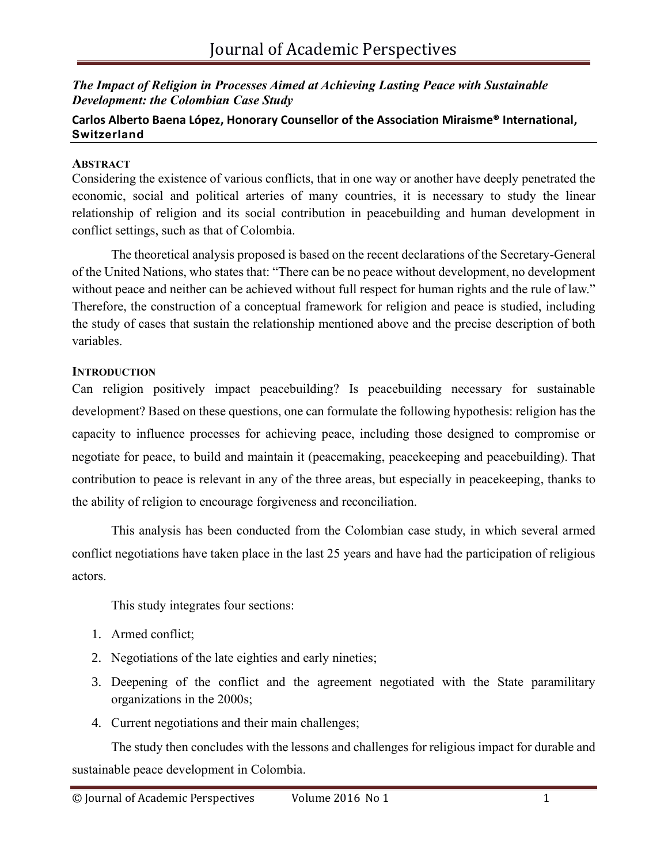# *The Impact of Religion in Processes Aimed at Achieving Lasting Peace with Sustainable Development: the Colombian Case Study*

# **Carlos Alberto Baena López, Honorary Counsellor of the Association Miraisme® International, [Switzerland](https://opencorporates.com/companies/ch)**

### **ABSTRACT**

Considering the existence of various conflicts, that in one way or another have deeply penetrated the economic, social and political arteries of many countries, it is necessary to study the linear relationship of religion and its social contribution in peacebuilding and human development in conflict settings, such as that of Colombia.

The theoretical analysis proposed is based on the recent declarations of the Secretary-General of the United Nations, who states that: "There can be no peace without development, no development without peace and neither can be achieved without full respect for human rights and the rule of law." Therefore, the construction of a conceptual framework for religion and peace is studied, including the study of cases that sustain the relationship mentioned above and the precise description of both variables.

# **INTRODUCTION**

Can religion positively impact peacebuilding? Is peacebuilding necessary for sustainable development? Based on these questions, one can formulate the following hypothesis: religion has the capacity to influence processes for achieving peace, including those designed to compromise or negotiate for peace, to build and maintain it (peacemaking, peacekeeping and peacebuilding). That contribution to peace is relevant in any of the three areas, but especially in peacekeeping, thanks to the ability of religion to encourage forgiveness and reconciliation.

This analysis has been conducted from the Colombian case study, in which several armed conflict negotiations have taken place in the last 25 years and have had the participation of religious actors.

This study integrates four sections:

- 1. Armed conflict;
- 2. Negotiations of the late eighties and early nineties;
- 3. Deepening of the conflict and the agreement negotiated with the State paramilitary organizations in the 2000s;
- 4. Current negotiations and their main challenges;

The study then concludes with the lessons and challenges for religious impact for durable and sustainable peace development in Colombia.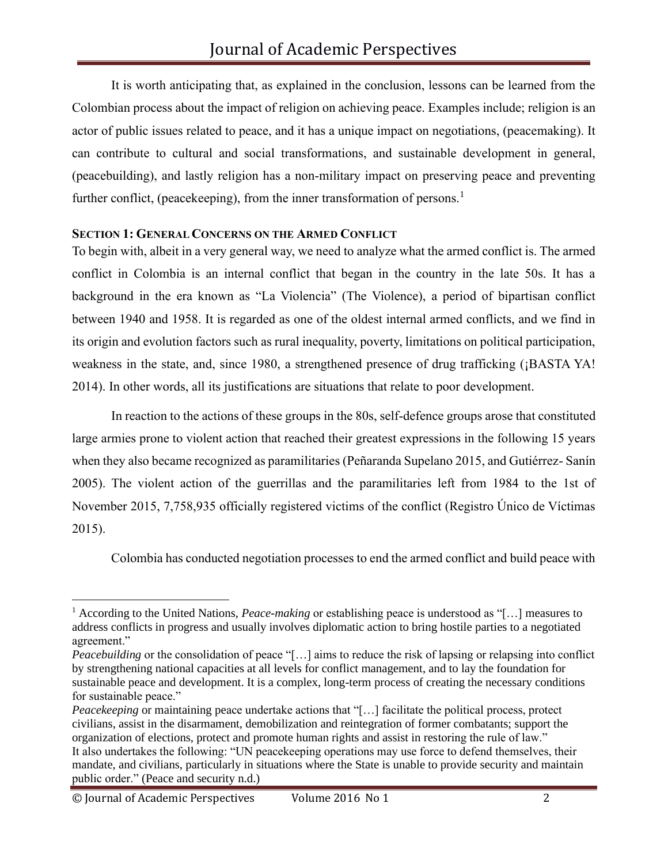It is worth anticipating that, as explained in the conclusion, lessons can be learned from the Colombian process about the impact of religion on achieving peace. Examples include; religion is an actor of public issues related to peace, and it has a unique impact on negotiations, (peacemaking). It can contribute to cultural and social transformations, and sustainable development in general, (peacebuilding), and lastly religion has a non-military impact on preserving peace and preventing further conflict, (peacekeeping), from the inner transformation of persons.<sup>1</sup>

### **SECTION 1: GENERAL CONCERNS ON THE ARMED CONFLICT**

To begin with, albeit in a very general way, we need to analyze what the armed conflict is. The armed conflict in Colombia is an internal conflict that began in the country in the late 50s. It has a background in the era known as "La Violencia" (The Violence), a period of bipartisan conflict between 1940 and 1958. It is regarded as one of the oldest internal armed conflicts, and we find in its origin and evolution factors such as rural inequality, poverty, limitations on political participation, weakness in the state, and, since 1980, a strengthened presence of drug trafficking (¡BASTA YA! 2014). In other words, all its justifications are situations that relate to poor development.

In reaction to the actions of these groups in the 80s, self-defence groups arose that constituted large armies prone to violent action that reached their greatest expressions in the following 15 years when they also became recognized as paramilitaries (Peñaranda Supelano 2015, and Gutiérrez- Sanín 2005). The violent action of the guerrillas and the paramilitaries left from 1984 to the 1st of November 2015, 7,758,935 officially registered victims of the conflict (Registro Único de Víctimas 2015).

Colombia has conducted negotiation processes to end the armed conflict and build peace with

<sup>1</sup> According to the United Nations, *Peace-making* or establishing peace is understood as "[…] measures to address conflicts in progress and usually involves diplomatic action to bring hostile parties to a negotiated agreement."

*Peacebuilding* or the consolidation of peace "[...] aims to reduce the risk of lapsing or relapsing into conflict by strengthening national capacities at all levels for conflict management, and to lay the foundation for sustainable peace and development. It is a complex, long-term process of creating the necessary conditions for sustainable peace."

*Peacekeeping* or maintaining peace undertake actions that "[...] facilitate the political process, protect civilians, assist in the disarmament, demobilization and reintegration of former combatants; support the organization of elections, protect and promote human rights and assist in restoring the rule of law." It also undertakes the following: "UN peacekeeping operations may use force to defend themselves, their mandate, and civilians, particularly in situations where the State is unable to provide security and maintain public order." (Peace and security n.d.)

<sup>©</sup> Journal of Academic Perspectives Volume 2016 No 1 2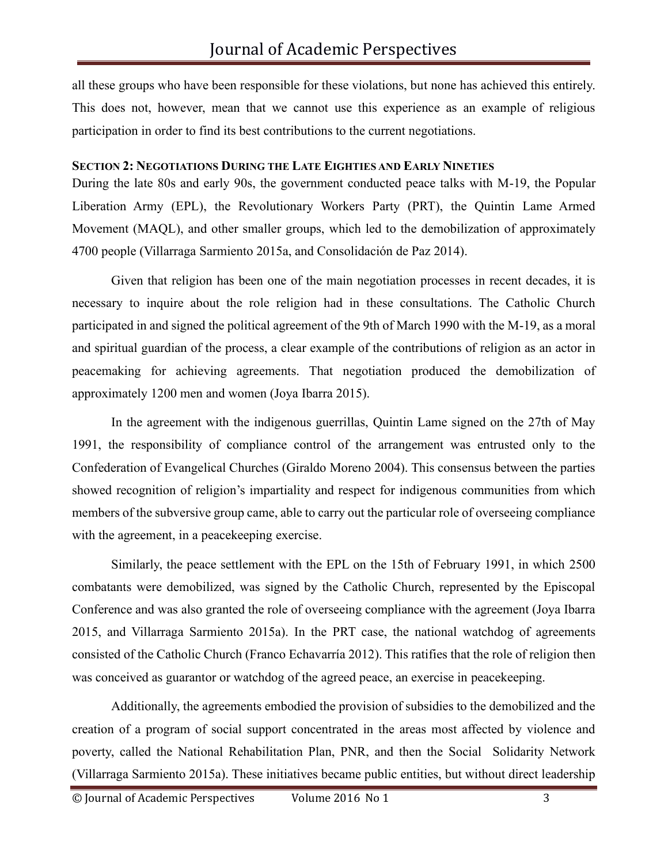all these groups who have been responsible for these violations, but none has achieved this entirely. This does not, however, mean that we cannot use this experience as an example of religious participation in order to find its best contributions to the current negotiations.

#### **SECTION 2: NEGOTIATIONS DURING THE LATE EIGHTIES AND EARLY NINETIES**

During the late 80s and early 90s, the government conducted peace talks with M-19, the Popular Liberation Army (EPL), the Revolutionary Workers Party (PRT), the Quintin Lame Armed Movement (MAQL), and other smaller groups, which led to the demobilization of approximately 4700 people (Villarraga Sarmiento 2015a, and Consolidación de Paz 2014).

Given that religion has been one of the main negotiation processes in recent decades, it is necessary to inquire about the role religion had in these consultations. The Catholic Church participated in and signed the political agreement of the 9th of March 1990 with the M-19, as a moral and spiritual guardian of the process, a clear example of the contributions of religion as an actor in peacemaking for achieving agreements. That negotiation produced the demobilization of approximately 1200 men and women (Joya Ibarra 2015).

In the agreement with the indigenous guerrillas, Quintin Lame signed on the 27th of May 1991, the responsibility of compliance control of the arrangement was entrusted only to the Confederation of Evangelical Churches (Giraldo Moreno 2004). This consensus between the parties showed recognition of religion's impartiality and respect for indigenous communities from which members of the subversive group came, able to carry out the particular role of overseeing compliance with the agreement, in a peace keeping exercise.

Similarly, the peace settlement with the EPL on the 15th of February 1991, in which 2500 combatants were demobilized, was signed by the Catholic Church, represented by the Episcopal Conference and was also granted the role of overseeing compliance with the agreement (Joya Ibarra 2015, and Villarraga Sarmiento 2015a). In the PRT case, the national watchdog of agreements consisted of the Catholic Church (Franco Echavarría 2012). This ratifies that the role of religion then was conceived as guarantor or watchdog of the agreed peace, an exercise in peacekeeping.

Additionally, the agreements embodied the provision of subsidies to the demobilized and the creation of a program of social support concentrated in the areas most affected by violence and poverty, called the National Rehabilitation Plan, PNR, and then the Social Solidarity Network (Villarraga Sarmiento 2015a). These initiatives became public entities, but without direct leadership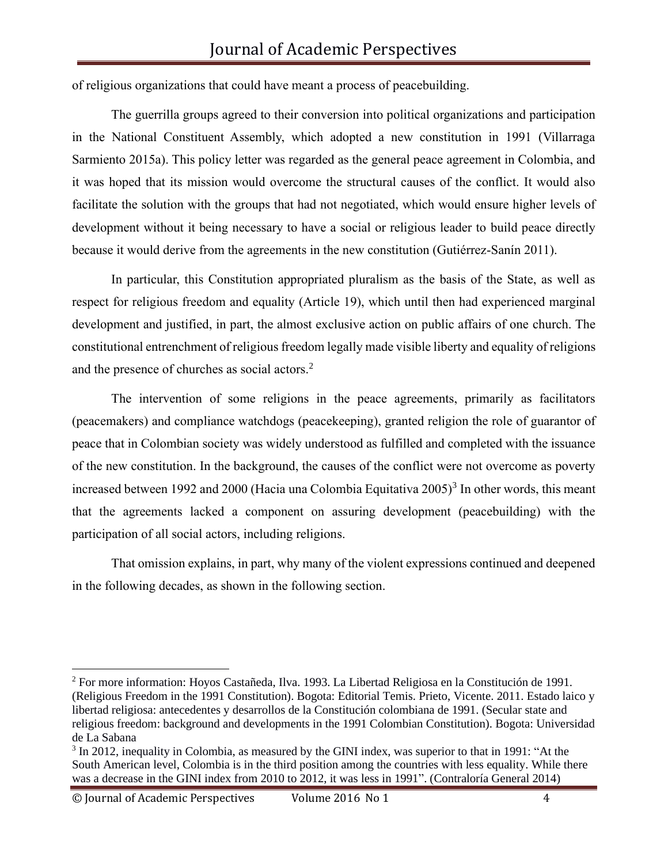of religious organizations that could have meant a process of peacebuilding.

The guerrilla groups agreed to their conversion into political organizations and participation in the National Constituent Assembly, which adopted a new constitution in 1991 (Villarraga Sarmiento 2015a). This policy letter was regarded as the general peace agreement in Colombia, and it was hoped that its mission would overcome the structural causes of the conflict. It would also facilitate the solution with the groups that had not negotiated, which would ensure higher levels of development without it being necessary to have a social or religious leader to build peace directly because it would derive from the agreements in the new constitution (Gutiérrez-Sanín 2011).

In particular, this Constitution appropriated pluralism as the basis of the State, as well as respect for religious freedom and equality (Article 19), which until then had experienced marginal development and justified, in part, the almost exclusive action on public affairs of one church. The constitutional entrenchment of religious freedom legally made visible liberty and equality of religions and the presence of churches as social actors.<sup>2</sup>

The intervention of some religions in the peace agreements, primarily as facilitators (peacemakers) and compliance watchdogs (peacekeeping), granted religion the role of guarantor of peace that in Colombian society was widely understood as fulfilled and completed with the issuance of the new constitution. In the background, the causes of the conflict were not overcome as poverty increased between 1992 and 2000 (Hacia una Colombia Equitativa 2005)<sup>3</sup> In other words, this meant that the agreements lacked a component on assuring development (peacebuilding) with the participation of all social actors, including religions.

That omission explains, in part, why many of the violent expressions continued and deepened in the following decades, as shown in the following section.

© Journal of Academic Perspectives Volume 2016 No 1 4

<sup>2</sup> For more information: Hoyos Castañeda, Ilva. 1993. La Libertad Religiosa en la Constitución de 1991. (Religious Freedom in the 1991 Constitution). Bogota: Editorial Temis. Prieto, Vicente. 2011. Estado laico y libertad religiosa: antecedentes y desarrollos de la Constitución colombiana de 1991. (Secular state and religious freedom: background and developments in the 1991 Colombian Constitution). Bogota: Universidad de La Sabana

<span id="page-3-0"></span><sup>&</sup>lt;sup>3</sup> In 2012, inequality in Colombia, as measured by the GINI index, was superior to that in 1991: "At the South American level, Colombia is in the third position among the countries with less equality. While there was a decrease in the GINI index from 2010 to 2012, it was less in 1991". (Contraloría General 2014)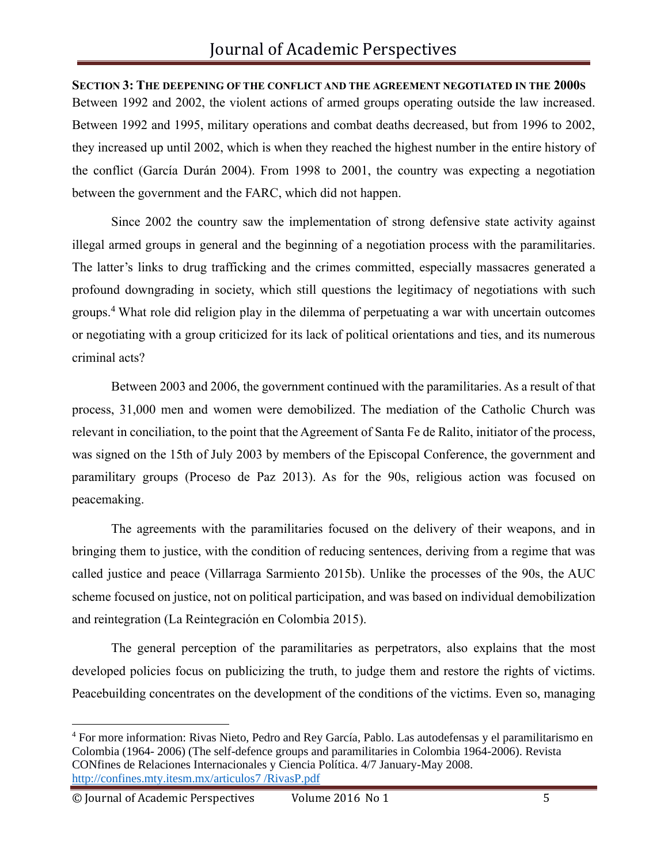**SECTION 3: THE DEEPENING OF THE CONFLICT AND THE AGREEMENT NEGOTIATED IN THE 2000S** Between 1992 and 2002, the violent actions of armed groups operating outside the law increased. Between 1992 and 1995, military operations and combat deaths decreased, but from 1996 to 2002, they increased up until 2002, which is when they reached the highest number in the entire history of the conflict (García Durán 2004). From 1998 to 2001, the country was expecting a negotiation between the government and the FARC, which did not happen.

Since 2002 the country saw the implementation of strong defensive state activity against illegal armed groups in general and the beginning of a negotiation process with the paramilitaries. The latter's links to drug trafficking and the crimes committed, especially massacres generated a profound downgrading in society, which still questions the legitimacy of negotiations with such groups.[4](#page-3-0) What role did religion play in the dilemma of perpetuating a war with uncertain outcomes or negotiating with a group criticized for its lack of political orientations and ties, and its numerous criminal acts?

Between 2003 and 2006, the government continued with the paramilitaries. As a result of that process, 31,000 men and women were demobilized. The mediation of the Catholic Church was relevant in conciliation, to the point that the Agreement of Santa Fe de Ralito, initiator of the process, was signed on the 15th of July 2003 by members of the Episcopal Conference, the government and paramilitary groups (Proceso de Paz 2013). As for the 90s, religious action was focused on peacemaking.

The agreements with the paramilitaries focused on the delivery of their weapons, and in bringing them to justice, with the condition of reducing sentences, deriving from a regime that was called justice and peace (Villarraga Sarmiento 2015b). Unlike the processes of the 90s, the AUC scheme focused on justice, not on political participation, and was based on individual demobilization and reintegration (La Reintegración en Colombia 2015).

The general perception of the paramilitaries as perpetrators, also explains that the most developed policies focus on publicizing the truth, to judge them and restore the rights of victims. Peacebuilding concentrates on the development of the conditions of the victims. Even so, managing

<sup>4</sup> For more information: Rivas Nieto, Pedro and Rey García, Pablo. Las autodefensas y el paramilitarismo en Colombia (1964- 2006) (The self-defence groups and paramilitaries in Colombia 1964-2006). Revista CONfines de Relaciones Internacionales y Ciencia Política. 4/7 January-May 2008. [http://confines.mty.itesm.mx/articulos7](http://confines.mty.itesm.mx/articulos7/RivasP.pdf) /RivasP.pdf

<sup>©</sup> Journal of Academic Perspectives Volume 2016 No 1 5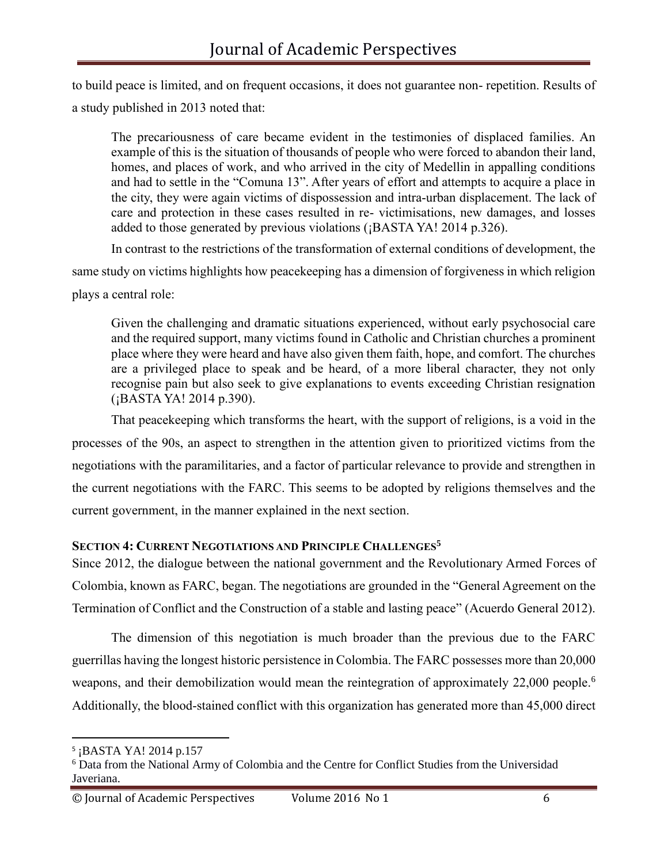to build peace is limited, and on frequent occasions, it does not guarantee non- repetition. Results of a study published in 2013 noted that:

The precariousness of care became evident in the testimonies of displaced families. An example of this is the situation of thousands of people who were forced to abandon their land, homes, and places of work, and who arrived in the city of Medellin in appalling conditions and had to settle in the "Comuna 13". After years of effort and attempts to acquire a place in the city, they were again victims of dispossession and intra-urban displacement. The lack of care and protection in these cases resulted in re- victimisations, new damages, and losses added to those generated by previous violations (¡BASTA YA! 2014 p.326).

In contrast to the restrictions of the transformation of external conditions of development, the same study on victims highlights how peacekeeping has a dimension of forgiveness in which religion plays a central role:

Given the challenging and dramatic situations experienced, without early psychosocial care and the required support, many victims found in Catholic and Christian churches a prominent place where they were heard and have also given them faith, hope, and comfort. The churches are a privileged place to speak and be heard, of a more liberal character, they not only recognise pain but also seek to give explanations to events exceeding Christian resignation (¡BASTA YA! 2014 p.390).

That peacekeeping which transforms the heart, with the support of religions, is a void in the processes of the 90s, an aspect to strengthen in the attention given to prioritized victims from the negotiations with the paramilitaries, and a factor of particular relevance to provide and strengthen in the current negotiations with the FARC. This seems to be adopted by religions themselves and the current government, in the manner explained in the next section.

### **SECTION 4: CURRENT NEGOTIATIONS AND PRINCIPLE CHALLENGES<sup>5</sup>**

Since 2012, the dialogue between the national government and the Revolutionary Armed Forces of Colombia, known as FARC, began. The negotiations are grounded in the "General Agreement on the Termination of Conflict and the Construction of a stable and lasting peace" (Acuerdo General 2012).

The dimension of this negotiation is much broader than the previous due to the FARC guerrillas having the longest historic persistence in Colombia. The FARC possesses more than 20,000 weapons, and their demobilization would mean the reintegration of approximately 22,000 people.<sup>6</sup> Additionally, the blood-stained conflict with this organization has generated more than 45,000 direct

<sup>5</sup> ¡BASTA YA! 2014 p.157

<sup>6</sup> Data from the National Army of Colombia and the Centre for Conflict Studies from the Universidad Javeriana.

<sup>©</sup> Journal of Academic Perspectives Volume 2016 No 1 6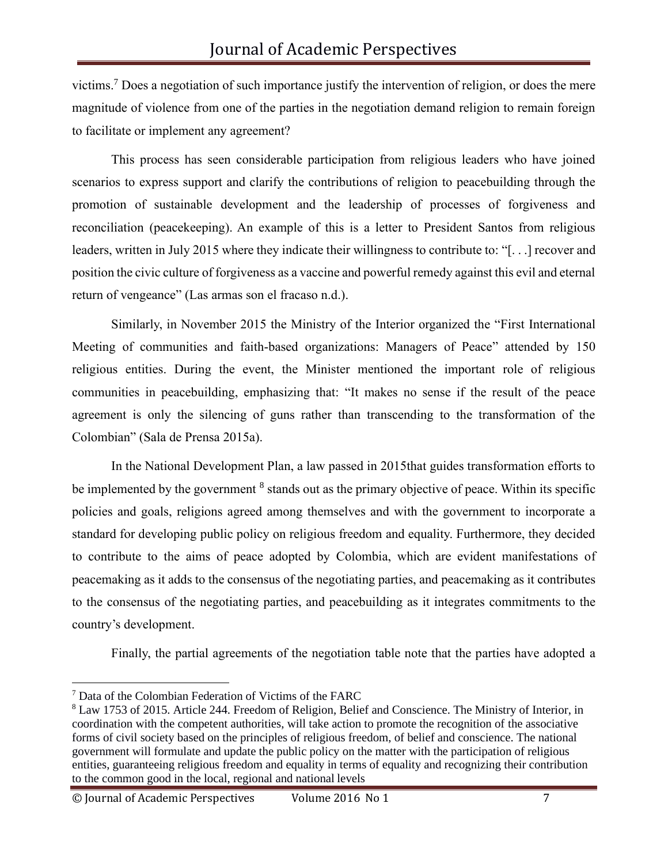victims.<sup>7</sup> Does a negotiation of such importance justify the intervention of religion, or does the mere magnitude of violence from one of the parties in the negotiation demand religion to remain foreign to facilitate or implement any agreement?

This process has seen considerable participation from religious leaders who have joined scenarios to express support and clarify the contributions of religion to peacebuilding through the promotion of sustainable development and the leadership of processes of forgiveness and reconciliation (peacekeeping). An example of this is a letter to President Santos from religious leaders, written in July 2015 where they indicate their willingness to contribute to: "[. . .] recover and position the civic culture of forgiveness as a vaccine and powerful remedy against this evil and eternal return of vengeance" (Las armas son el fracaso n.d.).

Similarly, in November 2015 the Ministry of the Interior organized the "First International Meeting of communities and faith-based organizations: Managers of Peace" attended by 150 religious entities. During the event, the Minister mentioned the important role of religious communities in peacebuilding, emphasizing that: "It makes no sense if the result of the peace agreement is only the silencing of guns rather than transcending to the transformation of the Colombian" (Sala de Prensa 2015a).

In the National Development Plan, a law passed in 2015that guides transformation efforts to be implemented by the government  $<sup>8</sup>$  stands out as the primary objective of peace. Within its specific</sup> policies and goals, religions agreed among themselves and with the government to incorporate a standard for developing public policy on religious freedom and equality. Furthermore, they decided to contribute to the aims of peace adopted by Colombia, which are evident manifestations of peacemaking as it adds to the consensus of the negotiating parties, and peacemaking as it contributes to the consensus of the negotiating parties, and peacebuilding as it integrates commitments to the country's development.

Finally, the partial agreements of the negotiation table note that the parties have adopted a

<sup>7</sup> Data of the Colombian Federation of Victims of the FARC

<sup>8</sup> Law 1753 of 2015. Article 244. Freedom of Religion, Belief and Conscience. The Ministry of Interior, in coordination with the competent authorities, will take action to promote the recognition of the associative forms of civil society based on the principles of religious freedom, of belief and conscience. The national government will formulate and update the public policy on the matter with the participation of religious entities, guaranteeing religious freedom and equality in terms of equality and recognizing their contribution to the common good in the local, regional and national levels

<sup>©</sup> Journal of Academic Perspectives Volume 2016 No 1 7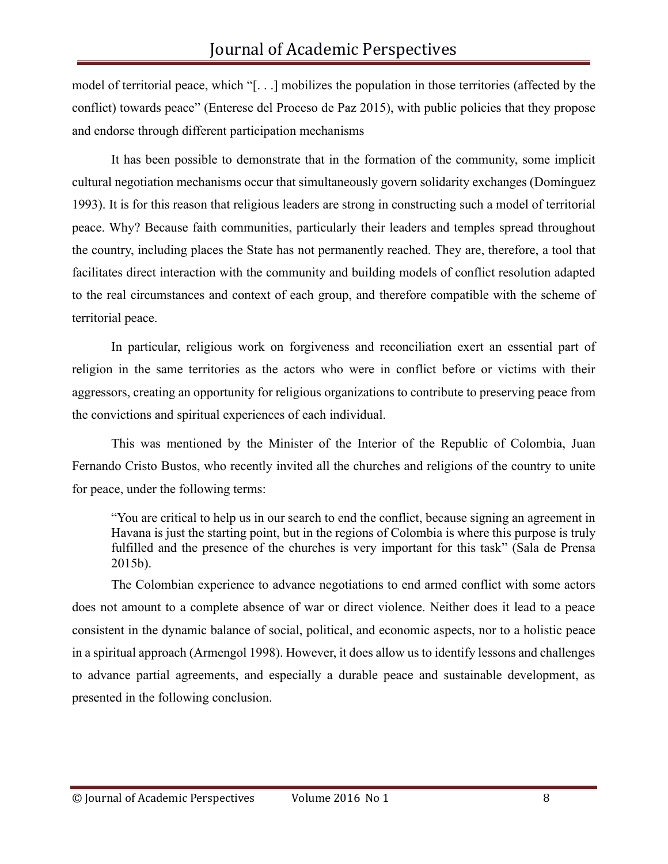model of territorial peace, which "[. . .] mobilizes the population in those territories (affected by the conflict) towards peace" (Enterese del Proceso de Paz 2015), with public policies that they propose and endorse through different participation mechanisms

It has been possible to demonstrate that in the formation of the community, some implicit cultural negotiation mechanisms occur that simultaneously govern solidarity exchanges (Domínguez 1993). It is for this reason that religious leaders are strong in constructing such a model of territorial peace. Why? Because faith communities, particularly their leaders and temples spread throughout the country, including places the State has not permanently reached. They are, therefore, a tool that facilitates direct interaction with the community and building models of conflict resolution adapted to the real circumstances and context of each group, and therefore compatible with the scheme of territorial peace.

In particular, religious work on forgiveness and reconciliation exert an essential part of religion in the same territories as the actors who were in conflict before or victims with their aggressors, creating an opportunity for religious organizations to contribute to preserving peace from the convictions and spiritual experiences of each individual.

This was mentioned by the Minister of the Interior of the Republic of Colombia, Juan Fernando Cristo Bustos, who recently invited all the churches and religions of the country to unite for peace, under the following terms:

"You are critical to help us in our search to end the conflict, because signing an agreement in Havana is just the starting point, but in the regions of Colombia is where this purpose is truly fulfilled and the presence of the churches is very important for this task" (Sala de Prensa 2015b).

The Colombian experience to advance negotiations to end armed conflict with some actors does not amount to a complete absence of war or direct violence. Neither does it lead to a peace consistent in the dynamic balance of social, political, and economic aspects, nor to a holistic peace in a spiritual approach (Armengol 1998). However, it does allow us to identify lessons and challenges to advance partial agreements, and especially a durable peace and sustainable development, as presented in the following conclusion.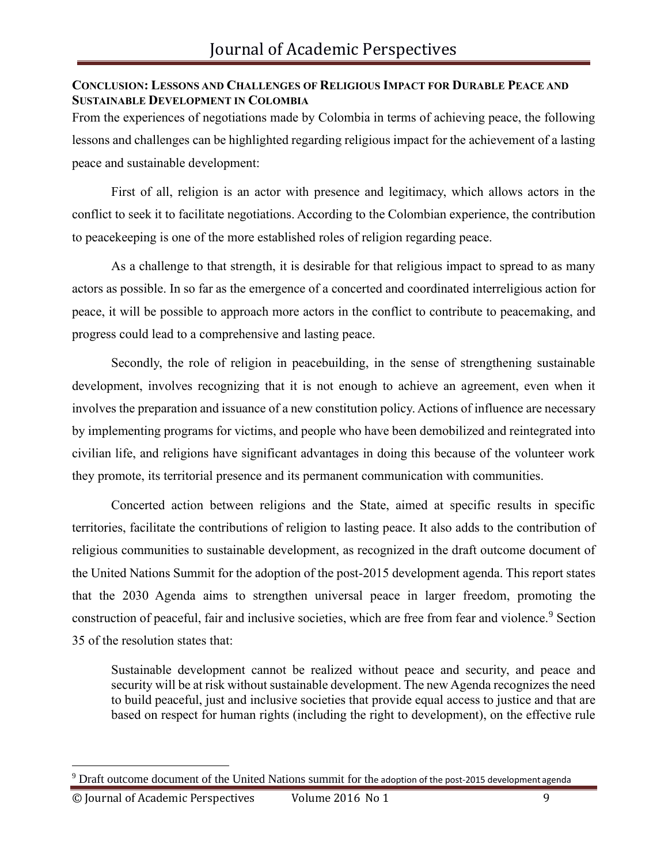### **CONCLUSION: LESSONS AND CHALLENGES OF RELIGIOUS IMPACT FOR DURABLE PEACE AND SUSTAINABLE DEVELOPMENT IN COLOMBIA**

From the experiences of negotiations made by Colombia in terms of achieving peace, the following lessons and challenges can be highlighted regarding religious impact for the achievement of a lasting peace and sustainable development:

First of all, religion is an actor with presence and legitimacy, which allows actors in the conflict to seek it to facilitate negotiations. According to the Colombian experience, the contribution to peacekeeping is one of the more established roles of religion regarding peace.

As a challenge to that strength, it is desirable for that religious impact to spread to as many actors as possible. In so far as the emergence of a concerted and coordinated interreligious action for peace, it will be possible to approach more actors in the conflict to contribute to peacemaking, and progress could lead to a comprehensive and lasting peace.

Secondly, the role of religion in peacebuilding, in the sense of strengthening sustainable development, involves recognizing that it is not enough to achieve an agreement, even when it involves the preparation and issuance of a new constitution policy. Actions of influence are necessary by implementing programs for victims, and people who have been demobilized and reintegrated into civilian life, and religions have significant advantages in doing this because of the volunteer work they promote, its territorial presence and its permanent communication with communities.

Concerted action between religions and the State, aimed at specific results in specific territories, facilitate the contributions of religion to lasting peace. It also adds to the contribution of religious communities to sustainable development, as recognized in the draft outcome document of the United Nations Summit for the adoption of the post-2015 development agenda. This report states that the 2030 Agenda aims to strengthen universal peace in larger freedom, promoting the construction of peaceful, fair and inclusive societies, which are free from fear and violence.<sup>9</sup> Section 35 of the resolution states that:

Sustainable development cannot be realized without peace and security, and peace and security will be at risk without sustainable development. The new Agenda recognizes the need to build peaceful, just and inclusive societies that provide equal access to justice and that are based on respect for human rights (including the right to development), on the effective rule

 $9$  Draft outcome document of the United Nations summit for the adoption of the post-2015 development agenda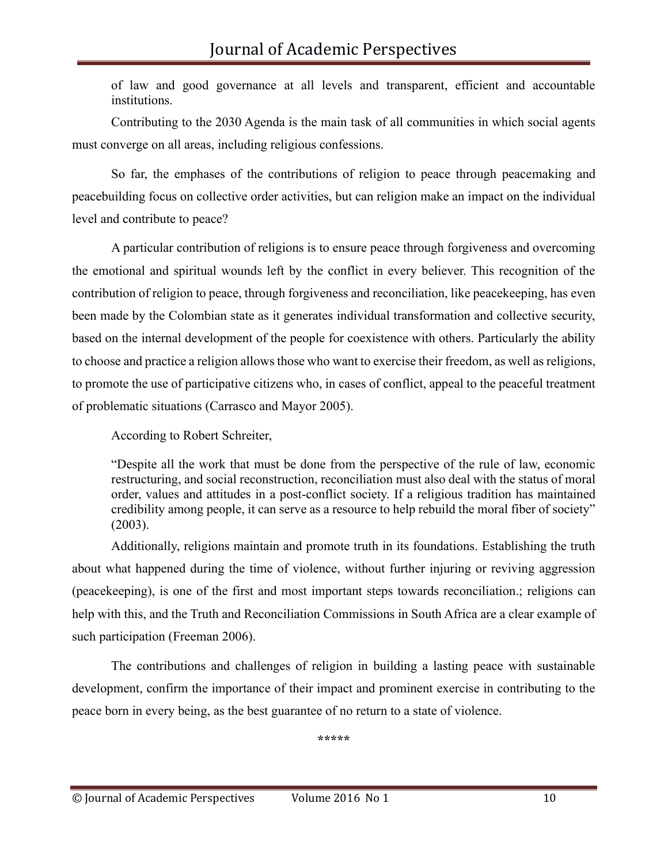of law and good governance at all levels and transparent, efficient and accountable institutions.

Contributing to the 2030 Agenda is the main task of all communities in which social agents must converge on all areas, including religious confessions.

So far, the emphases of the contributions of religion to peace through peacemaking and peacebuilding focus on collective order activities, but can religion make an impact on the individual level and contribute to peace?

A particular contribution of religions is to ensure peace through forgiveness and overcoming the emotional and spiritual wounds left by the conflict in every believer. This recognition of the contribution of religion to peace, through forgiveness and reconciliation, like peacekeeping, has even been made by the Colombian state as it generates individual transformation and collective security, based on the internal development of the people for coexistence with others. Particularly the ability to choose and practice a religion allows those who want to exercise their freedom, as well as religions, to promote the use of participative citizens who, in cases of conflict, appeal to the peaceful treatment of problematic situations (Carrasco and Mayor 2005).

According to Robert Schreiter,

"Despite all the work that must be done from the perspective of the rule of law, economic restructuring, and social reconstruction, reconciliation must also deal with the status of moral order, values and attitudes in a post-conflict society. If a religious tradition has maintained credibility among people, it can serve as a resource to help rebuild the moral fiber of society" (2003).

Additionally, religions maintain and promote truth in its foundations. Establishing the truth about what happened during the time of violence, without further injuring or reviving aggression (peacekeeping), is one of the first and most important steps towards reconciliation.; religions can help with this, and the Truth and Reconciliation Commissions in South Africa are a clear example of such participation (Freeman 2006).

The contributions and challenges of religion in building a lasting peace with sustainable development, confirm the importance of their impact and prominent exercise in contributing to the peace born in every being, as the best guarantee of no return to a state of violence.

**\*\*\*\*\***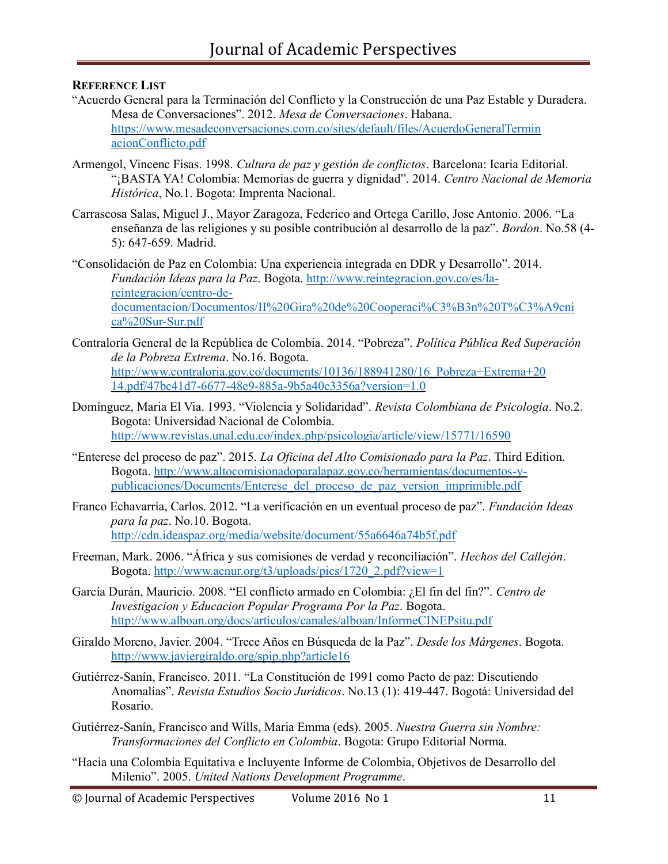### **REFERENCE LIST**

- "Acuerdo General para la Terminación del Conflicto y la Construcción de una Paz Estable y Duradera. Mesa de Conversaciones". 2012. *Mesa de Conversaciones*. Habana. [https://www.mesadeconversaciones.com.co/sites/default/files/AcuerdoGeneralTermin](https://www.mesadeconversaciones.com.co/sites/default/files/AcuerdoGeneralTerminacionConflicto.pdf) [acionConflicto.pdf](https://www.mesadeconversaciones.com.co/sites/default/files/AcuerdoGeneralTerminacionConflicto.pdf)
- Armengol, Vincenc Fisas. 1998. *Cultura de paz y gestión de conflictos*. Barcelona: Icaria Editorial. "¡BASTA YA! Colombia: Memorias de guerra y dignidad". 2014. *Centro Nacional de Memoria Histórica*, No.1. Bogota: Imprenta Nacional.
- Carrascosa Salas, Miguel J., Mayor Zaragoza, Federico and Ortega Carillo, Jose Antonio. 2006. "La enseñanza de las religiones y su posible contribución al desarrollo de la paz". *Bordon*. No.58 (4- 5): 647-659. Madrid.
- "Consolidación de Paz en Colombia: Una experiencia integrada en DDR y Desarrollo". 2014. *Fundación Ideas para la Paz*. Bogota. [http://www.reintegracion.gov.co/es/la](http://www.reintegracion.gov.co/es/la-reintegracion/centro-de-documentacion/Documentos/II%20Gira%20de%20Cooperaci%C3%B3n%20T%C3%A9cnica%20Sur-Sur.pdf)[reintegracion/centro-de](http://www.reintegracion.gov.co/es/la-reintegracion/centro-de-documentacion/Documentos/II%20Gira%20de%20Cooperaci%C3%B3n%20T%C3%A9cnica%20Sur-Sur.pdf)[documentacion/Documentos/II%20Gira%20de%20Cooperaci%C3%B3n%20T%C3%A9cni](http://www.reintegracion.gov.co/es/la-reintegracion/centro-de-documentacion/Documentos/II%20Gira%20de%20Cooperaci%C3%B3n%20T%C3%A9cnica%20Sur-Sur.pdf) [ca%20Sur-Sur.pdf](http://www.reintegracion.gov.co/es/la-reintegracion/centro-de-documentacion/Documentos/II%20Gira%20de%20Cooperaci%C3%B3n%20T%C3%A9cnica%20Sur-Sur.pdf)
- Contraloría General de la República de Colombia. 2014. "Pobreza". *Política Pública Red Superación de la Pobreza Extrema*. No.16. Bogota. [http://www.contraloria.gov.co/documents/10136/188941280/16\\_Pobreza+Extrema+20](http://www.contraloria.gov.co/documents/10136/188941280/16_Pobreza%2BExtrema%2B2014.pdf/47bc41d7-6677-48e9-885a-9b5a40c3356a?version=1.0) [14.pdf/47bc41d7-6677-48e9-885a-9b5a40c3356a?version=1.0](http://www.contraloria.gov.co/documents/10136/188941280/16_Pobreza%2BExtrema%2B2014.pdf/47bc41d7-6677-48e9-885a-9b5a40c3356a?version=1.0)
- Domínguez, Maria El Via. 1993. "Violencia y Solidaridad". *Revista Colombiana de Psicologia*. No.2. Bogota: Universidad Nacional de Colombia. <http://www.revistas.unal.edu.co/index.php/psicologia/article/view/15771/16590>
- "Enterese del proceso de paz". 2015. *La Oficina del Alto Comisionado para la Paz*. Third Edition. Bogota. [http://www.altocomisionadoparalapaz.gov.co/herramientas/documentos-y](http://www.altocomisionadoparalapaz.gov.co/herramientas/documentos-y-publicaciones/Documents/Enterese_del_proceso_de_paz_version_imprimible.pdf)[publicaciones/Documents/Enterese\\_del\\_proceso\\_de\\_paz\\_version\\_imprimible.pdf](http://www.altocomisionadoparalapaz.gov.co/herramientas/documentos-y-publicaciones/Documents/Enterese_del_proceso_de_paz_version_imprimible.pdf)
- Franco Echavarría, Carlos. 2012. "La verificación en un eventual proceso de paz". *Fundación Ideas para la paz*. No.10. Bogota. <http://cdn.ideaspaz.org/media/website/document/55a6646a74b5f.pdf>
- Freeman, Mark. 2006. "África y sus comisiones de verdad y reconciliación". *Hechos del Callejón*. Bogota. [http://www.acnur.org/t3/uploads/pics/1720\\_2.pdf?view=1](http://www.acnur.org/t3/uploads/pics/1720_2.pdf?view=1)
- García Durán, Mauricio. 2008. "El conflicto armado en Colombia: ¿El fin del fin?". *Centro de Investigacion y Educacion Popular Programa Por la Paz*. Bogota. <http://www.alboan.org/docs/articulos/canales/alboan/InformeCINEPsitu.pdf>
- Giraldo Moreno, Javier. 2004. "Trece Años en Búsqueda de la Paz". *Desde los Márgenes*. Bogota. <http://www.javiergiraldo.org/spip.php?article16>
- Gutiérrez-Sanín, Francisco. 2011. "La Constitución de 1991 como Pacto de paz: Discutiendo Anomalías". *Revista Estudios Socio Jurídicos*. No.13 (1): 419-447. Bogotá: Universidad del Rosario.
- Gutiérrez-Sanín, Francisco and Wills, Maria Emma (eds). 2005. *Nuestra Guerra sin Nombre: Transformaciones del Conflicto en Colombia*. Bogota: Grupo Editorial Norma.
- "Hacia una Colombia Equitativa e Incluyente Informe de Colombia, Objetivos de Desarrollo del Milenio". 2005. *United Nations Development Programme*.